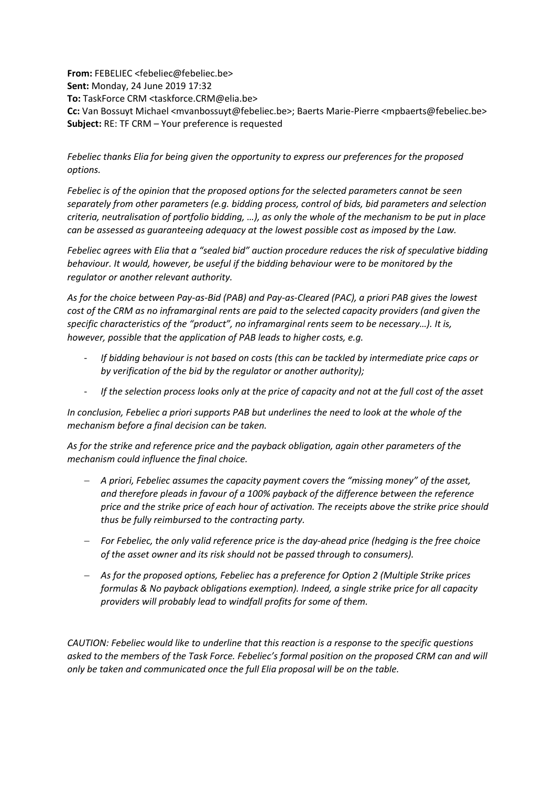**From:** FEBELIEC <febeliec@febeliec.be> **Sent:** Monday, 24 June 2019 17:32 **To:** TaskForce CRM <taskforce.CRM@elia.be> **Cc:** Van Bossuyt Michael <mvanbossuyt@febeliec.be>; Baerts Marie-Pierre <mpbaerts@febeliec.be> **Subject:** RE: TF CRM – Your preference is requested

*Febeliec thanks Elia for being given the opportunity to express our preferences for the proposed options.*

*Febeliec is of the opinion that the proposed options for the selected parameters cannot be seen separately from other parameters (e.g. bidding process, control of bids, bid parameters and selection criteria, neutralisation of portfolio bidding, …), as only the whole of the mechanism to be put in place can be assessed as guaranteeing adequacy at the lowest possible cost as imposed by the Law.*

*Febeliec agrees with Elia that a "sealed bid" auction procedure reduces the risk of speculative bidding behaviour. It would, however, be useful if the bidding behaviour were to be monitored by the regulator or another relevant authority.*

*As for the choice between Pay-as-Bid (PAB) and Pay-as-Cleared (PAC), a priori PAB gives the lowest cost of the CRM as no inframarginal rents are paid to the selected capacity providers (and given the specific characteristics of the "product", no inframarginal rents seem to be necessary…). It is, however, possible that the application of PAB leads to higher costs, e.g.*

- *If bidding behaviour is not based on costs (this can be tackled by intermediate price caps or by verification of the bid by the regulator or another authority);*
- *If the selection process looks only at the price of capacity and not at the full cost of the asset*

*In conclusion, Febeliec a priori supports PAB but underlines the need to look at the whole of the mechanism before a final decision can be taken.*

*As for the strike and reference price and the payback obligation, again other parameters of the mechanism could influence the final choice.* 

- *A priori, Febeliec assumes the capacity payment covers the "missing money" of the asset, and therefore pleads in favour of a 100% payback of the difference between the reference price and the strike price of each hour of activation. The receipts above the strike price should thus be fully reimbursed to the contracting party.*
- *For Febeliec, the only valid reference price is the day-ahead price (hedging is the free choice of the asset owner and its risk should not be passed through to consumers).*
- *As for the proposed options, Febeliec has a preference for Option 2 (Multiple Strike prices formulas & No payback obligations exemption). Indeed, a single strike price for all capacity providers will probably lead to windfall profits for some of them.*

*CAUTION: Febeliec would like to underline that this reaction is a response to the specific questions asked to the members of the Task Force. Febeliec's formal position on the proposed CRM can and will only be taken and communicated once the full Elia proposal will be on the table.*